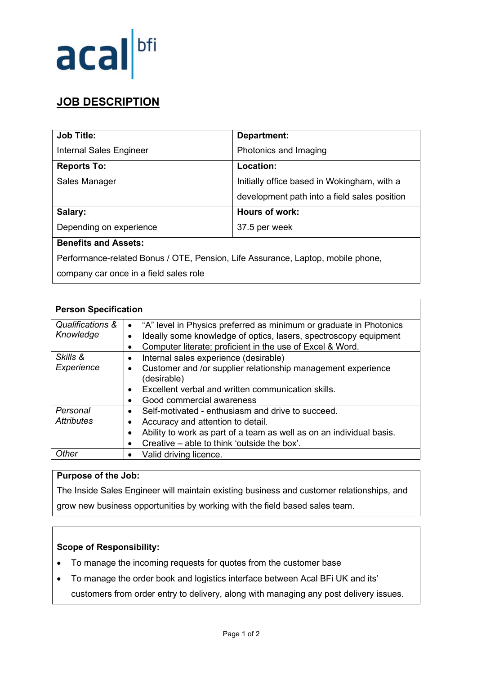

## **JOB DESCRIPTION**

| <b>Job Title:</b>              | <b>Department:</b>                           |
|--------------------------------|----------------------------------------------|
| <b>Internal Sales Engineer</b> | Photonics and Imaging                        |
| <b>Reports To:</b>             | Location:                                    |
| Sales Manager                  | Initially office based in Wokingham, with a  |
|                                | development path into a field sales position |
| Salary:                        | Hours of work:                               |
| Depending on experience        | 37.5 per week                                |
| <b>Benefits and Assets:</b>    |                                              |

Performance-related Bonus / OTE, Pension, Life Assurance, Laptop, mobile phone,

company car once in a field sales role

| <b>Person Specification</b>   |                                                                                                                                                                                                                            |
|-------------------------------|----------------------------------------------------------------------------------------------------------------------------------------------------------------------------------------------------------------------------|
| Qualifications &<br>Knowledge | "A" level in Physics preferred as minimum or graduate in Photonics<br>$\bullet$<br>Ideally some knowledge of optics, lasers, spectroscopy equipment<br>Computer literate; proficient in the use of Excel & Word.           |
| Skills &<br>Experience        | Internal sales experience (desirable)<br>$\bullet$<br>Customer and /or supplier relationship management experience<br>(desirable)<br>Excellent verbal and written communication skills.<br>Good commercial awareness       |
| Personal<br><b>Attributes</b> | Self-motivated - enthusiasm and drive to succeed.<br>$\bullet$<br>Accuracy and attention to detail.<br>Ability to work as part of a team as well as on an individual basis.<br>Creative – able to think 'outside the box'. |
| Other                         | Valid driving licence.                                                                                                                                                                                                     |

## **Purpose of the Job:**

The Inside Sales Engineer will maintain existing business and customer relationships, and grow new business opportunities by working with the field based sales team.

## **Scope of Responsibility:**

- To manage the incoming requests for quotes from the customer base
- To manage the order book and logistics interface between Acal BFi UK and its' customers from order entry to delivery, along with managing any post delivery issues.